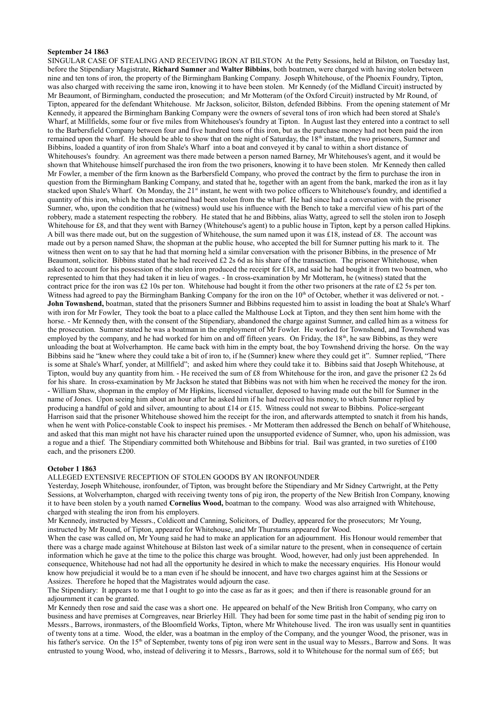### **September 24 1863**

SINGULAR CASE OF STEALING AND RECEIVING IRON AT BILSTON At the Petty Sessions, held at Bilston, on Tuesday last, before the Stipendiary Magistrate, **Richard Sumner** and **Walter Bibbins**, both boatmen, were charged with having stolen between nine and ten tons of iron, the property of the Birmingham Banking Company. Joseph Whitehouse, of the Phoenix Foundry, Tipton, was also charged with receiving the same iron, knowing it to have been stolen. Mr Kennedy (of the Midland Circuit) instructed by Mr Beaumont, of Birmingham, conducted the prosecution; and Mr Motteram (of the Oxford Circuit) instructed by Mr Round, of Tipton, appeared for the defendant Whitehouse. Mr Jackson, solicitor, Bilston, defended Bibbins. From the opening statement of Mr Kennedy, it appeared the Birmingham Banking Company were the owners of several tons of iron which had been stored at Shale's Wharf, at Millfields, some four or five miles from Whitehouses's foundry at Tipton. In August last they entered into a contract to sell to the Barbersfield Company between four and five hundred tons of this iron, but as the purchase money had not been paid the iron remained upon the wharf. He should be able to show that on the night of Saturday, the  $18<sup>th</sup>$  instant, the two prisoners, Sumner and Bibbins, loaded a quantity of iron from Shale's Wharf into a boat and conveyed it by canal to within a short distance of Whitehouses's foundry. An agreement was there made between a person named Barney, Mr Whitehouses's agent, and it would be shown that Whitehouse himself purchased the iron from the two prisoners, knowing it to have been stolen. Mr Kennedy then called Mr Fowler, a member of the firm known as the Barbersfield Company, who proved the contract by the firm to purchase the iron in question from the Birmingham Banking Company, and stated that he, together with an agent from the bank, marked the iron as it lay stacked upon Shale's Wharf. On Monday, the 21<sup>st</sup> instant, he went with two police officers to Whitehouse's foundry, and identified a quantity of this iron, which he then ascertained had been stolen from the wharf. He had since had a conversation with the prisoner Sumner, who, upon the condition that he (witness) would use his influence with the Bench to take a merciful view of his part of the robbery, made a statement respecting the robbery. He stated that he and Bibbins, alias Watty, agreed to sell the stolen iron to Joseph Whitehouse for £8, and that they went with Barney (Whitehouse's agent) to a public house in Tipton, kept by a person called Hipkins. A bill was there made out, but on the suggestion of Whitehouse, the sum named upon it was £18, instead of £8. The account was made out by a person named Shaw, the shopman at the public house, who accepted the bill for Sumner putting his mark to it. The witness then went on to say that he had that morning held a similar conversation with the prisoner Bibbins, in the presence of Mr Beaumont, solicitor. Bibbins stated that he had received £2 2s 6d as his share of the transaction. The prisoner Whitehouse, when asked to account for his possession of the stolen iron produced the receipt for £18, and said he had bought it from two boatmen, who represented to him that they had taken it in lieu of wages. - In cross-examination by Mr Motteram, he (witness) stated that the contract price for the iron was £2 10s per ton. Whitehouse had bought it from the other two prisoners at the rate of £2 5s per ton. Witness had agreed to pay the Birmingham Banking Company for the iron on the 10<sup>th</sup> of October, whether it was delivered or not. **John Townshend,** boatman, stated that the prisoners Sumner and Bibbins requested him to assist in loading the boat at Shale's Wharf with iron for Mr Fowler, They took the boat to a place called the Malthouse Lock at Tipton, and they then sent him home with the horse. - Mr Kennedy then, with the consent of the Stipendiary, abandoned the charge against Sumner, and called him as a witness for the prosecution. Sumner stated he was a boatman in the employment of Mr Fowler. He worked for Townshend, and Townshend was employed by the company, and he had worked for him on and off fifteen years. On Friday, the 18<sup>th</sup>, he saw Bibbins, as they were unloading the boat at Wolverhampton. He came back with him in the empty boat, the boy Townshend driving the horse. On the way Bibbins said he "knew where they could take a bit of iron to, if he (Sumner) knew where they could get it". Sumner replied, "There is some at Shale's Wharf, yonder, at Millfield"; and asked him where they could take it to. Bibbins said that Joseph Whitehouse, at Tipton, would buy any quantity from him. - He received the sum of £8 from Whitehouse for the iron, and gave the prisoner £2 2s 6d for his share. In cross-examination by Mr Jackson he stated that Bibbins was not with him when he received the money for the iron. - William Shaw, shopman in the employ of Mr Hipkins, licensed victualler, deposed to having made out the bill for Sumner in the name of Jones. Upon seeing him about an hour after he asked him if he had received his money, to which Sumner replied by producing a handful of gold and silver, amounting to about £14 or £15. Witness could not swear to Bibbins. Police-sergeant Harrison said that the prisoner Whitehouse showed him the receipt for the iron, and afterwards attempted to snatch it from his hands, when he went with Police-constable Cook to inspect his premises. - Mr Motteram then addressed the Bench on behalf of Whitehouse, and asked that this man might not have his character ruined upon the unsupported evidence of Sumner, who, upon his admission, was a rogue and a thief. The Stipendiary committed both Whitehouse and Bibbins for trial. Bail was granted, in two sureties of £100 each, and the prisoners £200.

#### **October 1 1863**

#### ALLEGED EXTENSIVE RECEPTION OF STOLEN GOODS BY AN IRONFOUNDER

Yesterday, Joseph Whitehouse, ironfounder, of Tipton, was brought before the Stipendiary and Mr Sidney Cartwright, at the Petty Sessions, at Wolverhampton, charged with receiving twenty tons of pig iron, the property of the New British Iron Company, knowing it to have been stolen by a youth named **Cornelius Wood,** boatman to the company. Wood was also arraigned with Whitehouse, charged with stealing the iron from his employers.

Mr Kennedy, instructed by Messrs., Coldicott and Canning, Solicitors, of Dudley, appeared for the prosecutors; Mr Young, instructed by Mr Round, of Tipton, appeared for Whitehouse, and Mr Thurstams appeared for Wood.

When the case was called on, Mr Young said he had to make an application for an adjournment. His Honour would remember that there was a charge made against Whitehouse at Bilston last week of a similar nature to the present, when in consequence of certain information which he gave at the time to the police this charge was brought. Wood, however, had only just been apprehended. In consequence, Whitehouse had not had all the opportunity he desired in which to make the necessary enquiries. His Honour would know how prejudicial it would be to a man even if he should be innocent, and have two charges against him at the Sessions or Assizes. Therefore he hoped that the Magistrates would adjourn the case.

The Stipendiary: It appears to me that I ought to go into the case as far as it goes; and then if there is reasonable ground for an adjournment it can be granted.

Mr Kennedy then rose and said the case was a short one. He appeared on behalf of the New British Iron Company, who carry on business and have premises at Corngreaves, near Brierley Hill. They had been for some time past in the habit of sending pig iron to Messrs., Barrows, ironmasters, of the Bloomfield Works, Tipton, where Mr Whitehouse lived. The iron was usually sent in quantities of twenty tons at a time. Wood, the elder, was a boatman in the employ of the Company, and the younger Wood, the prisoner, was in his father's service. On the 15<sup>th</sup> of September, twenty tons of pig iron were sent in the usual way to Messrs., Barrow and Sons. It was entrusted to young Wood, who, instead of delivering it to Messrs., Barrows, sold it to Whitehouse for the normal sum of £65; but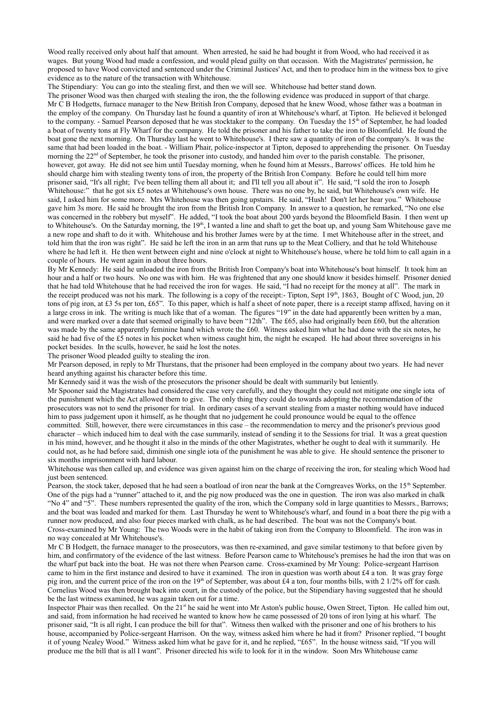Wood really received only about half that amount. When arrested, he said he had bought it from Wood, who had received it as wages. But young Wood had made a confession, and would plead guilty on that occasion. With the Magistrates' permission, he proposed to have Wood convicted and sentenced under the Criminal Justices' Act, and then to produce him in the witness box to give evidence as to the nature of the transaction with Whitehouse.

The Stipendiary: You can go into the stealing first, and then we will see. Whitehouse had better stand down.

The prisoner Wood was then charged with stealing the iron, the the following evidence was produced in support of that charge. Mr C B Hodgetts, furnace manager to the New British Iron Company, deposed that he knew Wood, whose father was a boatman in the employ of the company. On Thursday last he found a quantity of iron at Whitehouse's wharf, at Tipton. He believed it belonged to the company. - Samuel Pearson deposed that he was stocktaker to the company. On Tuesday the 15<sup>th</sup> of September, he had loaded a boat of twenty tons at Fly Wharf for the company. He told the prisoner and his father to take the iron to Bloomfield. He found the boat gone the next morning. On Thursday last he went to Whitehouse's. I there saw a quantity of iron of the company's. It was the same that had been loaded in the boat. - William Phair, police-inspector at Tipton, deposed to apprehending the prisoner. On Tuesday morning the 22<sup>nd</sup> of September, he took the prisoner into custody, and handed him over to the parish constable. The prisoner, however, got away. He did not see him until Tuesday morning, when he found him at Messrs., Barrows' offices. He told him he should charge him with stealing twenty tons of iron, the property of the British Iron Company. Before he could tell him more prisoner said, "It's all right; I've been telling them all about it; and I'll tell you all about it". He said, "I sold the iron to Joseph Whitehouse:" that he got six £5 notes at Whitehouse's own house. There was no one by, he said, but Whitehouse's own wife. He said, I asked him for some more. Mrs Whitehouse was then going upstairs. He said, "Hush! Don't let her hear you." Whitehouse gave him 3s more. He said he brought the iron from the British Iron Company. In answer to a question, he remarked, "No one else was concerned in the robbery but myself". He added, "I took the boat about 200 yards beyond the Bloomfield Basin. I then went up to Whitehouse's. On the Saturday morning, the 19<sup>th</sup>, I wanted a line and shaft to get the boat up, and young Sam Whitehouse gave me a new rope and shaft to do it with. Whitehouse and his brother James were by at the time. I met Whitehouse after in the street, and told him that the iron was right". He said he left the iron in an arm that runs up to the Meat Colliery, and that he told Whitehouse where he had left it. He then went between eight and nine o'clock at night to Whitehouse's house, where he told him to call again in a couple of hours. He went again in about three hours.

By Mr Kennedy: He said he unloaded the iron from the British Iron Company's boat into Whitehouse's boat himself. It took him an hour and a half or two hours. No one was with him. He was frightened that any one should know it besides himself. Prisoner denied that he had told Whitehouse that he had received the iron for wages. He said, "I had no receipt for the money at all". The mark in the receipt produced was not his mark. The following is a copy of the receipt:- Tipton, Sept 19<sup>th</sup>, 1863, Bought of C Wood, jun, 20 tons of pig iron, at £3 5s per ton, £65". To this paper, which is half a sheet of note paper, there is a receipt stamp affixed, having on it a large cross in ink. The writing is much like that of a woman. The figures "19" in the date had apparently been written by a man, and were marked over a date that seemed originally to have been "12th". The £65, also had originally been £60, but the alteration was made by the same apparently feminine hand which wrote the £60. Witness asked him what he had done with the six notes, he said he had five of the £5 notes in his pocket when witness caught him, the night he escaped. He had about three sovereigns in his pocket besides. In the sculls, however, he said he lost the notes.

The prisoner Wood pleaded guilty to stealing the iron.

Mr Pearson deposed, in reply to Mr Thurstans, that the prisoner had been employed in the company about two years. He had never heard anything against his character before this time.

Mr Kennedy said it was the wish of the prosecutors the prisoner should be dealt with summarily but leniently.

Mr Spooner said the Magistrates had considered the case very carefully, and they thought they could not mitigate one single iota of the punishment which the Act allowed them to give. The only thing they could do towards adopting the recommendation of the prosecutors was not to send the prisoner for trial. In ordinary cases of a servant stealing from a master nothing would have induced him to pass judgement upon it himself, as he thought that no judgement he could pronounce would be equal to the offence committed. Still, however, there were circumstances in this case – the recommendation to mercy and the prisoner's previous good character – which induced him to deal with the case summarily, instead of sending it to the Sessions for trial. It was a great question in his mind, however, and he thought it also in the minds of the other Magistrates, whether he ought to deal with it summarily. He could not, as he had before said, diminish one single iota of the punishment he was able to give. He should sentence the prisoner to six months imprisonment with hard labour.

Whitehouse was then called up, and evidence was given against him on the charge of receiving the iron, for stealing which Wood had just been sentenced.

Pearson, the stock taker, deposed that he had seen a boatload of iron near the bank at the Corngreaves Works, on the 15<sup>th</sup> September. One of the pigs had a "runner" attached to it, and the pig now produced was the one in question. The iron was also marked in chalk "No 4" and "5". These numbers represented the quality of the iron, which the Company sold in large quantities to Messrs., Barrows; and the boat was loaded and marked for them. Last Thursday he went to Whitehouse's wharf, and found in a boat there the pig with a runner now produced, and also four pieces marked with chalk, as he had described. The boat was not the Company's boat. Cross-examined by Mr Young: The two Woods were in the habit of taking iron from the Company to Bloomfield. The iron was in no way concealed at Mr Whitehouse's.

Mr C B Hodgett, the furnace manager to the prosecutors, was then re-examined, and gave similar testimony to that before given by him, and confirmatory of the evidence of the last witness. Before Pearson came to Whitehouse's premises he had the iron that was on the wharf put back into the boat. He was not there when Pearson came. Cross-examined by Mr Young: Police-sergeant Harrison came to him in the first instance and desired to have it examined. The iron in question was worth about  $\pounds 4$  a ton. It was gray forge pig iron, and the current price of the iron on the 19<sup>th</sup> of September, was about £4 a ton, four months bills, with 2 1/2% off for cash. Cornelius Wood was then brought back into court, in the custody of the police, but the Stipendiary having suggested that he should be the last witness examined, he was again taken out for a time.

Inspector Phair was then recalled. On the 21<sup>st</sup> he said he went into Mr Aston's public house, Owen Street, Tipton. He called him out, and said, from information he had received he wanted to know how he came possessed of 20 tons of iron lying at his wharf. The prisoner said, "It is all right, I can produce the bill for that". Witness then walked with the prisoner and one of his brothers to his house, accompanied by Police-sergeant Harrison. On the way, witness asked him where he had it from? Prisoner replied, "I bought it of young Nealey Wood." Witness asked him what he gave for it, and he replied, "£65". In the house witness said, "If you will produce me the bill that is all I want". Prisoner directed his wife to look for it in the window. Soon Mrs Whitehouse came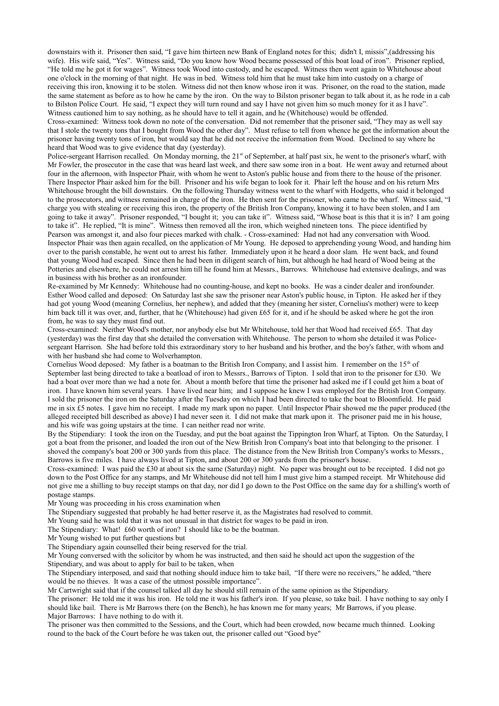downstairs with it. Prisoner then said, "I gave him thirteen new Bank of England notes for this; didn't I, missis",(addressing his wife). His wife said, "Yes". Witness said, "Do you know how Wood became possessed of this boat load of iron". Prisoner replied, "He told me he got it for wages". Witness took Wood into custody, and he escaped. Witness then went again to Whitehouse about one o'clock in the morning of that night. He was in bed. Witness told him that he must take him into custody on a charge of receiving this iron, knowing it to be stolen. Witness did not then know whose iron it was. Prisoner, on the road to the station, made the same statement as before as to how he came by the iron. On the way to Bilston prisoner began to talk about it, as he rode in a cab to Bilston Police Court. He said, "I expect they will turn round and say I have not given him so much money for it as I have". Witness cautioned him to say nothing, as he should have to tell it again, and he (Whitehouse) would be offended.

Cross-examined: Witness took down no note of the conversation. Did not remember that the prisoner said, "They may as well say that I stole the twenty tons that I bought from Wood the other day". Must refuse to tell from whence he got the information about the prisoner having twenty tons of iron, but would say that he did not receive the information from Wood. Declined to say where he heard that Wood was to give evidence that day (yesterday).

Police-sergeant Harrison recalled. On Monday morning, the 21<sup>st</sup> of September, at half past six, he went to the prisoner's wharf, with Mr Fowler, the prosecutor in the case that was heard last week, and there saw some iron in a boat. He went away and returned about four in the afternoon, with Inspector Phair, with whom he went to Aston's public house and from there to the house of the prisoner. There Inspector Phair asked him for the bill. Prisoner and his wife began to look for it. Phair left the house and on his return Mrs Whitehouse brought the bill downstairs. On the following Thursday witness went to the wharf with Hodgetts, who said it belonged to the prosecutors, and witness remained in charge of the iron. He then sent for the prisoner, who came to the wharf. Witness said, "I charge you with stealing or receiving this iron, the property of the British Iron Company, knowing it to have been stolen, and I am going to take it away". Prisoner responded, "I bought it; you can take it". Witness said, "Whose boat is this that it is in? I am going to take it". He replied, "It is mine". Witness then removed all the iron, which weighed nineteen tons. The piece identified by Pearson was amongst it, and also four pieces marked with chalk. - Cross-examined: Had not had any conversation with Wood. Inspector Phair was then again recalled, on the application of Mr Young. He deposed to apprehending young Wood, and handing him over to the parish constable, he went out to arrest his father. Immediately upon it he heard a door slam. He went back, and found that young Wood had escaped. Since then he had been in diligent search of him, but although he had heard of Wood being at the Potteries and elsewhere, he could not arrest him till he found him at Messrs., Barrows. Whitehouse had extensive dealings, and was in business with his brother as an ironfounder.

Re-examined by Mr Kennedy: Whitehouse had no counting-house, and kept no books. He was a cinder dealer and ironfounder. Esther Wood called and deposed: On Saturday last she saw the prisoner near Aston's public house, in Tipton. He asked her if they had got young Wood (meaning Cornelius, her nephew), and added that they (meaning her sister, Cornelius's mother) were to keep him back till it was over, and, further, that he (Whitehouse) had given £65 for it, and if he should be asked where he got the iron from, he was to say they must find out.

Cross-examined: Neither Wood's mother, nor anybody else but Mr Whitehouse, told her that Wood had received £65. That day (yesterday) was the first day that she detailed the conversation with Whitehouse. The person to whom she detailed it was Policesergeant Harrison. She had before told this extraordinary story to her husband and his brother, and the boy's father, with whom and with her husband she had come to Wolverhampton.

Cornelius Wood deposed: My father is a boatman to the British Iron Company, and I assist him. I remember on the  $15<sup>th</sup>$  of September last being directed to take a boatload of iron to Messrs., Barrows of Tipton. I sold that iron to the prisoner for £30. We had a boat over more than we had a note for. About a month before that time the prisoner had asked me if I could get him a boat of iron. I have known him several years. I have lived near him; and I suppose he knew I was employed for the British Iron Company. I sold the prisoner the iron on the Saturday after the Tuesday on which I had been directed to take the boat to Bloomfield. He paid me in six £5 notes. I gave him no receipt. I made my mark upon no paper. Until Inspector Phair showed me the paper produced (the alleged receipted bill described as above) I had never seen it. I did not make that mark upon it. The prisoner paid me in his house, and his wife was going upstairs at the time. I can neither read nor write.

By the Stipendiary: I took the iron on the Tuesday, and put the boat against the Tippington Iron Wharf, at Tipton. On the Saturday, I got a boat from the prisoner, and loaded the iron out of the New British Iron Company's boat into that belonging to the prisoner. I shoved the company's boat 200 or 300 yards from this place. The distance from the New British Iron Company's works to Messrs., Barrows is five miles. I have always lived at Tipton, and about 200 or 300 yards from the prisoner's house.

Cross-examined: I was paid the £30 at about six the same (Saturday) night. No paper was brought out to be receipted. I did not go down to the Post Office for any stamps, and Mr Whitehouse did not tell him I must give him a stamped receipt. Mr Whitehouse did not give me a shilling to buy receipt stamps on that day, nor did I go down to the Post Office on the same day for a shilling's worth of postage stamps.

Mr Young was proceeding in his cross examination when

The Stipendiary suggested that probably he had better reserve it, as the Magistrates had resolved to commit.

Mr Young said he was told that it was not unusual in that district for wages to be paid in iron.

The Stipendiary: What! £60 worth of iron? I should like to be the boatman.

Mr Young wished to put further questions but

The Stipendiary again counselled their being reserved for the trial.

Mr Young conversed with the solicitor by whom he was instructed, and then said he should act upon the suggestion of the

Stipendiary, and was about to apply for bail to be taken, when

The Stipendiary interposed, and said that nothing should induce him to take bail, "If there were no receivers," he added, "there would be no thieves. It was a case of the utmost possible importance".

Mr Cartwright said that if the counsel talked all day he should still remain of the same opinion as the Stipendiary.

The prisoner: He told me it was his iron. He told me it was his father's iron. If you please, so take bail. I have nothing to say only I should like bail. There is Mr Barrows there (on the Bench), he has known me for many years; Mr Barrows, if you please. Major Barrows: I have nothing to do with it.

The prisoner was then committed to the Sessions, and the Court, which had been crowded, now became much thinned. Looking round to the back of the Court before he was taken out, the prisoner called out "Good bye"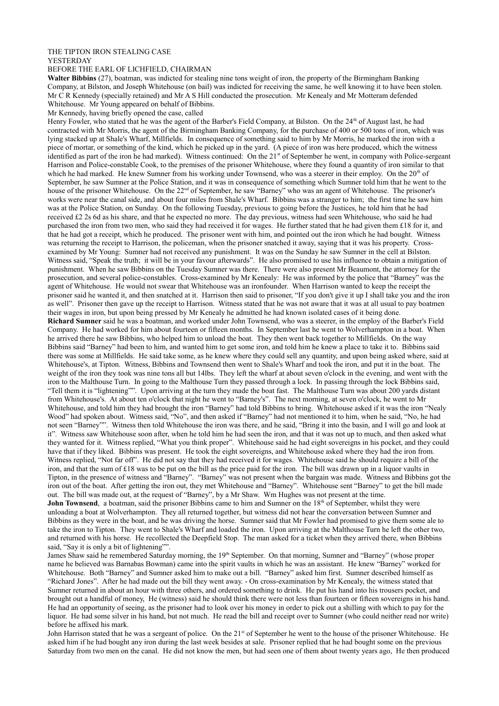## THE TIPTON IRON STEALING CASE YESTERDAY

# BEFORE THE EARL OF LICHFIELD, CHAIRMAN

**Walter Bibbins** (27), boatman, was indicted for stealing nine tons weight of iron, the property of the Birmingham Banking Company, at Bilston, and Joseph Whitehouse (on bail) was indicted for receiving the same, he well knowing it to have been stolen. Mr C R Kennedy (specially retained) and Mr A S Hill conducted the prosecution. Mr Kenealy and Mr Motteram defended Whitehouse. Mr Young appeared on behalf of Bibbins.

Mr Kennedy, having briefly opened the case, called

Henry Fowler, who stated that he was the agent of the Barber's Field Company, at Bilston. On the 24<sup>th</sup> of August last, he had contracted with Mr Morris, the agent of the Birmingham Banking Company, for the purchase of 400 or 500 tons of iron, which was lying stacked up at Shale's Wharf, Millfields. In consequence of something said to him by Mr Morris, he marked the iron with a piece of mortar, or something of the kind, which he picked up in the yard. (A piece of iron was here produced, which the witness identified as part of the iron he had marked). Witness continued: On the  $21<sup>st</sup>$  of September he went, in company with Police-sergeant Harrison and Police-constable Cook, to the premises of the prisoner Whitehouse, where they found a quantity of iron similar to that which he had marked. He knew Sumner from his working under Townsend, who was a steerer in their employ. On the  $20<sup>th</sup>$  of September, he saw Sumner at the Police Station, and it was in consequence of something which Sumner told him that he went to the house of the prisoner Whitehouse. On the 22<sup>nd</sup> of September, he saw "Barney" who was an agent of Whitehouse. The prisoner's works were near the canal side, and about four miles from Shale's Wharf. Bibbins was a stranger to him; the first time he saw him was at the Police Station, on Sunday. On the following Tuesday, previous to going before the Justices, he told him that he had received £2 2s 6d as his share, and that he expected no more. The day previous, witness had seen Whitehouse, who said he had purchased the iron from two men, who said they had received it for wages. He further stated that he had given them £18 for it, and that he had got a receipt, which he produced. The prisoner went with him, and pointed out the iron which he had bought. Witness was returning the receipt to Harrison, the policeman, when the prisoner snatched it away, saying that it was his property. Crossexamined by Mr Young: Sumner had not received any punishment. It was on the Sunday he saw Sumner in the cell at Bilston. Witness said, "Speak the truth; it will be in your favour afterwards". He also promised to use his influence to obtain a mitigation of punishment. When he saw Bibbins on the Tuesday Sumner was there. There were also present Mr Beaumont, the attorney for the prosecution, and several police-constables. Cross-examined by Mr Kenealy: He was informed by the police that "Barney" was the agent of Whitehouse. He would not swear that Whitehouse was an ironfounder. When Harrison wanted to keep the receipt the prisoner said he wanted it, and then snatched at it. Harrison then said to prisoner, "If you don't give it up I shall take you and the iron as well". Prisoner then gave up the receipt to Harrison. Witness stated that he was not aware that it was at all usual to pay boatmen their wages in iron, but upon being pressed by Mr Kenealy he admitted he had known isolated cases of it being done. **Richard Sumner** said he was a boatman, and worked under John Townsend, who was a steerer, in the employ of the Barber's Field Company. He had worked for him about fourteen or fifteen months. In September last he went to Wolverhampton in a boat. When he arrived there he saw Bibbins, who helped him to unload the boat. They then went back together to Millfields. On the way Bibbins said "Barney" had been to him, and wanted him to get some iron, and told him he knew a place to take it to. Bibbins said there was some at Millfields. He said take some, as he knew where they could sell any quantity, and upon being asked where, said at Whitehouse's, at Tipton. Witness, Bibbins and Townsend then went to Shale's Wharf and took the iron, and put it in the boat. The weight of the iron they took was nine tons all but 14lbs. They left the wharf at about seven o'clock in the evening, and went with the iron to the Malthouse Turn. In going to the Malthouse Turn they passed through a lock. In passing through the lock Bibbins said, "Tell them it is "lightening"". Upon arriving at the turn they made the boat fast. The Malthouse Turn was about 200 yards distant from Whitehouse's. At about ten o'clock that night he went to "Barney's". The next morning, at seven o'clock, he went to Mr Whitehouse, and told him they had brought the iron "Barney" had told Bibbins to bring. Whitehouse asked if it was the iron "Nealy Wood" had spoken about. Witness said, "No", and then asked if "Barney" had not mentioned it to him, when he said, "No, he had not seen "Barney"". Witness then told Whitehouse the iron was there, and he said, "Bring it into the basin, and I will go and look at it". Witness saw Whitehouse soon after, when he told him he had seen the iron, and that it was not up to much, and then asked what they wanted for it. Witness replied, "What you think proper". Whitehouse said he had eight sovereigns in his pocket, and they could have that if they liked. Bibbins was present. He took the eight sovereigns, and Whitehouse asked where they had the iron from. Witness replied, "Not far off". He did not say that they had received it for wages. Whitehouse said he should require a bill of the iron, and that the sum of £18 was to be put on the bill as the price paid for the iron. The bill was drawn up in a liquor vaults in

Tipton, in the presence of witness and "Barney". "Barney" was not present when the bargain was made. Witness and Bibbins got the iron out of the boat. After getting the iron out, they met Whitehouse and "Barney". Whitehouse sent "Barney" to get the bill made out. The bill was made out, at the request of "Barney", by a Mr Shaw. Wm Hughes was not present at the time.

**John Townsend**, a boatman, said the prisoner Bibbins came to him and Sumner on the 18<sup>th</sup> of September, whilst they were unloading a boat at Wolverhampton. They all returned together, but witness did not hear the conversation between Sumner and Bibbins as they were in the boat, and he was driving the horse. Sumner said that Mr Fowler had promised to give them some ale to take the iron to Tipton. They went to Shale's Wharf and loaded the iron. Upon arriving at the Malthouse Turn he left the other two, and returned with his horse. He recollected the Deepfield Stop. The man asked for a ticket when they arrived there, when Bibbins said, "Say it is only a bit of lightening"".

James Shaw said he remembered Saturday morning, the 19<sup>th</sup> September. On that morning, Sumner and "Barney" (whose proper name he believed was Barnabas Bowman) came into the spirit vaults in which he was an assistant. He knew "Barney" worked for Whitehouse. Both "Barney" and Sumner asked him to make out a bill. "Barney" asked him first. Sumner described himself as "Richard Jones". After he had made out the bill they went away. - On cross-examination by Mr Kenealy, the witness stated that Sumner returned in about an hour with three others, and ordered something to drink. He put his hand into his trousers pocket, and brought out a handful of money, He (witness) said he should think there were not less than fourteen or fifteen sovereigns in his hand. He had an opportunity of seeing, as the prisoner had to look over his money in order to pick out a shilling with which to pay for the liquor. He had some silver in his hand, but not much. He read the bill and receipt over to Sumner (who could neither read nor write) before he affixed his mark.

John Harrison stated that he was a sergeant of police. On the 21<sup>st</sup> of September he went to the house of the prisoner Whitehouse. He asked him if he had bought any iron during the last week besides at sale. Prisoner replied that he had bought some on the previous Saturday from two men on the canal. He did not know the men, but had seen one of them about twenty years ago, He then produced